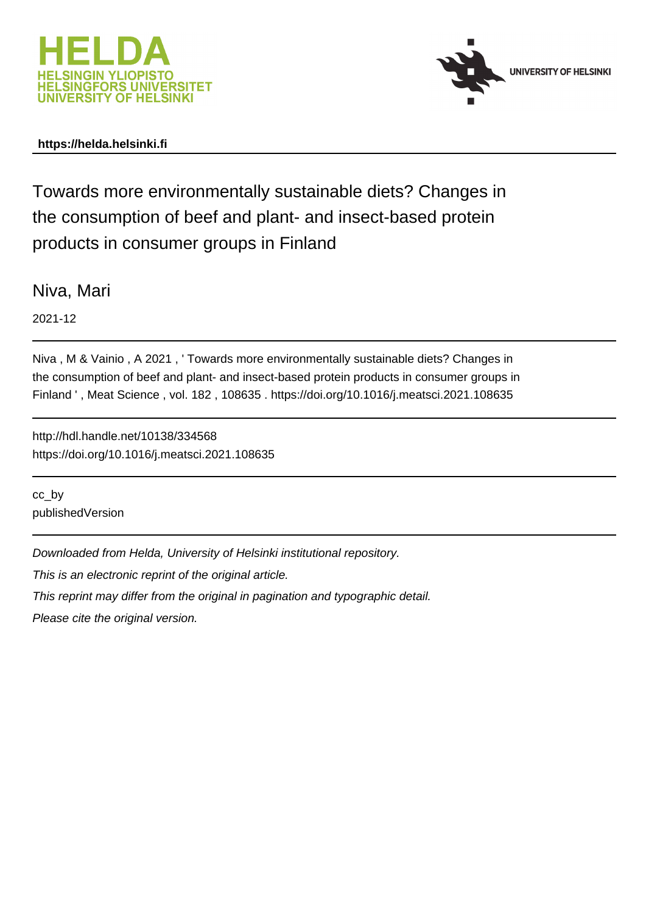



## **https://helda.helsinki.fi**

Towards more environmentally sustainable diets? Changes in the consumption of beef and plant- and insect-based protein products in consumer groups in Finland

Niva, Mari

2021-12

Niva , M & Vainio , A 2021 , ' Towards more environmentally sustainable diets? Changes in the consumption of beef and plant- and insect-based protein products in consumer groups in Finland ' , Meat Science , vol. 182 , 108635 . https://doi.org/10.1016/j.meatsci.2021.108635

http://hdl.handle.net/10138/334568 https://doi.org/10.1016/j.meatsci.2021.108635

cc\_by publishedVersion

Downloaded from Helda, University of Helsinki institutional repository.

This is an electronic reprint of the original article.

This reprint may differ from the original in pagination and typographic detail.

Please cite the original version.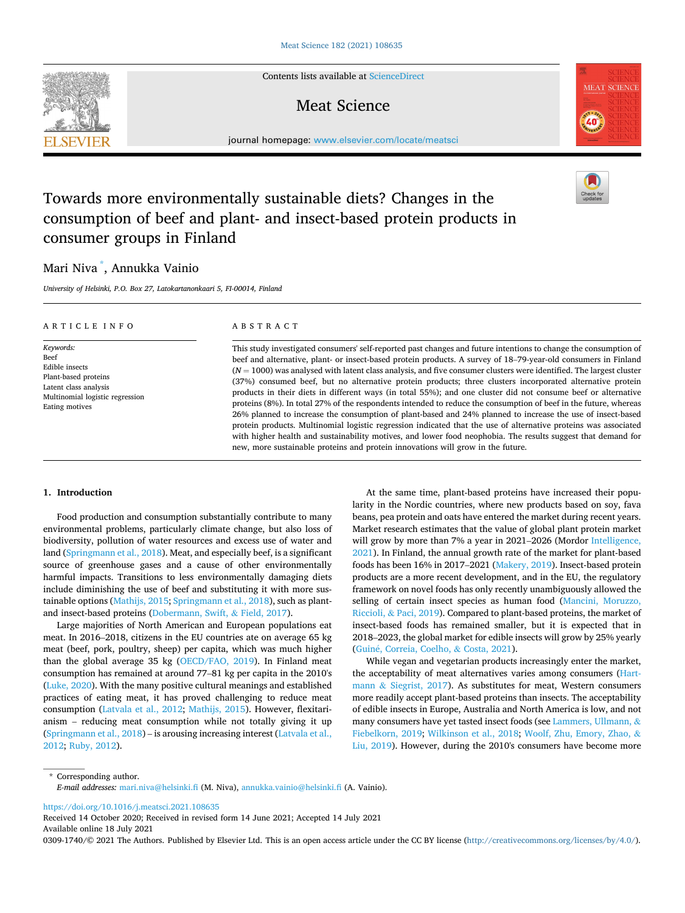Contents lists available at [ScienceDirect](www.sciencedirect.com/science/journal/03091740)

## Meat Science

journal homepage: [www.elsevier.com/locate/meatsci](https://www.elsevier.com/locate/meatsci) 

# Towards more environmentally sustainable diets? Changes in the consumption of beef and plant- and insect-based protein products in consumer groups in Finland

## Mari Niva \* , Annukka Vainio

*University of Helsinki, P.O. Box 27, Latokartanonkaari 5, FI-00014, Finland* 

| ARTICLE INFO                                                                                                                              | ABSTRACT                                                                                                                                                                                                                                                                                                                                                                                                                                                                                                                                                                                                                                                                                                                                                                                                                                                                                                                                                                                                                                                       |
|-------------------------------------------------------------------------------------------------------------------------------------------|----------------------------------------------------------------------------------------------------------------------------------------------------------------------------------------------------------------------------------------------------------------------------------------------------------------------------------------------------------------------------------------------------------------------------------------------------------------------------------------------------------------------------------------------------------------------------------------------------------------------------------------------------------------------------------------------------------------------------------------------------------------------------------------------------------------------------------------------------------------------------------------------------------------------------------------------------------------------------------------------------------------------------------------------------------------|
| Keywords:<br>Beef<br>Edible insects<br>Plant-based proteins<br>Latent class analysis<br>Multinomial logistic regression<br>Eating motives | This study investigated consumers' self-reported past changes and future intentions to change the consumption of<br>beef and alternative, plant- or insect-based protein products. A survey of 18–79-year-old consumers in Finland<br>$(N = 1000)$ was analysed with latent class analysis, and five consumer clusters were identified. The largest cluster<br>(37%) consumed beef, but no alternative protein products; three clusters incorporated alternative protein<br>products in their diets in different ways (in total 55%); and one cluster did not consume beef or alternative<br>proteins (8%). In total 27% of the respondents intended to reduce the consumption of beef in the future, whereas<br>26% planned to increase the consumption of plant-based and 24% planned to increase the use of insect-based<br>protein products. Multinomial logistic regression indicated that the use of alternative proteins was associated<br>with higher health and sustainability motives, and lower food neophobia. The results suggest that demand for |

new, more sustainable proteins and protein innovations will grow in the future.

## **1. Introduction**

Food production and consumption substantially contribute to many environmental problems, particularly climate change, but also loss of biodiversity, pollution of water resources and excess use of water and land (Springmann et al., 2018). Meat, and especially beef, is a significant source of greenhouse gases and a cause of other environmentally harmful impacts. Transitions to less environmentally damaging diets include diminishing the use of beef and substituting it with more sustainable options (Mathijs, 2015; Springmann et al., 2018), such as plantand insect-based proteins (Dobermann, Swift, & Field, 2017).

Large majorities of North American and European populations eat meat. In 2016–2018, citizens in the EU countries ate on average 65 kg meat (beef, pork, poultry, sheep) per capita, which was much higher than the global average 35 kg (OECD/FAO, 2019). In Finland meat consumption has remained at around 77–81 kg per capita in the 2010's (Luke, 2020). With the many positive cultural meanings and established practices of eating meat, it has proved challenging to reduce meat consumption (Latvala et al., 2012; Mathijs, 2015). However, flexitarianism – reducing meat consumption while not totally giving it up (Springmann et al., 2018) – is arousing increasing interest (Latvala et al., 2012; Ruby, 2012).

At the same time, plant-based proteins have increased their popularity in the Nordic countries, where new products based on soy, fava beans, pea protein and oats have entered the market during recent years. Market research estimates that the value of global plant protein market will grow by more than 7% a year in 2021–2026 (Mordor Intelligence, 2021). In Finland, the annual growth rate of the market for plant-based foods has been 16% in 2017–2021 (Makery, 2019). Insect-based protein products are a more recent development, and in the EU, the regulatory framework on novel foods has only recently unambiguously allowed the selling of certain insect species as human food (Mancini, Moruzzo, Riccioli, & Paci, 2019). Compared to plant-based proteins, the market of insect-based foods has remained smaller, but it is expected that in 2018–2023, the global market for edible insects will grow by 25% yearly (Guin´e, Correia, Coelho, & Costa, 2021).

While vegan and vegetarian products increasingly enter the market, the acceptability of meat alternatives varies among consumers (Hartmann & Siegrist, 2017). As substitutes for meat, Western consumers more readily accept plant-based proteins than insects. The acceptability of edible insects in Europe, Australia and North America is low, and not many consumers have yet tasted insect foods (see Lammers, Ullmann, & Fiebelkorn, 2019; Wilkinson et al., 2018; Woolf, Zhu, Emory, Zhao, & Liu, 2019). However, during the 2010's consumers have become more

\* Corresponding author. *E-mail addresses:* [mari.niva@helsinki.fi](mailto:mari.niva@helsinki.fi) (M. Niva), [annukka.vainio@helsinki.fi](mailto:annukka.vainio@helsinki.fi) (A. Vainio).

<https://doi.org/10.1016/j.meatsci.2021.108635>

Available online 18 July 2021 Received 14 October 2020; Received in revised form 14 June 2021; Accepted 14 July 2021

0309-1740/© 2021 The Authors. Published by Elsevier Ltd. This is an open access article under the CC BY license [\(http://creativecommons.org/licenses/by/4.0/\)](http://creativecommons.org/licenses/by/4.0/).





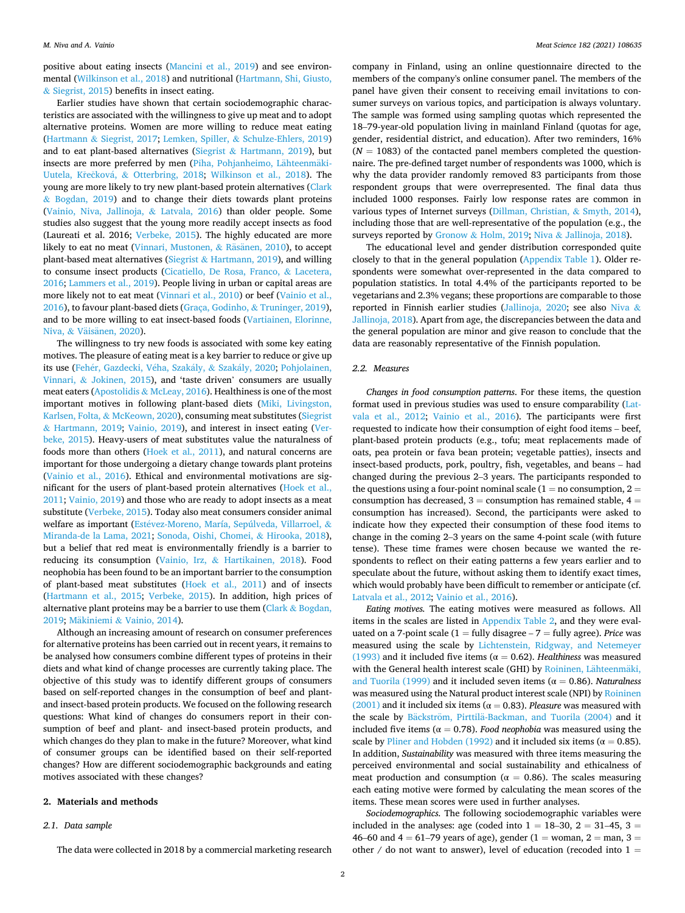positive about eating insects (Mancini et al., 2019) and see environmental (Wilkinson et al., 2018) and nutritional (Hartmann, Shi, Giusto, & Siegrist, 2015) benefits in insect eating.

Earlier studies have shown that certain sociodemographic characteristics are associated with the willingness to give up meat and to adopt alternative proteins. Women are more willing to reduce meat eating (Hartmann & Siegrist, 2017; Lemken, Spiller, & Schulze-Ehlers, 2019) and to eat plant-based alternatives (Siegrist  $& Hartmann, 2019$ ), but insects are more preferred by men (Piha, Pohjanheimo, Lähteenmäki-Uutela, Křečková, & Otterbring, 2018; Wilkinson et al., 2018). The young are more likely to try new plant-based protein alternatives (Clark & Bogdan, 2019) and to change their diets towards plant proteins (Vainio, Niva, Jallinoja, & Latvala, 2016) than older people. Some studies also suggest that the young more readily accept insects as food (Laureati et al. 2016; Verbeke, 2015). The highly educated are more likely to eat no meat (Vinnari, Mustonen, & Räsänen, 2010), to accept plant-based meat alternatives (Siegrist  $& Hartmann, 2019$ ), and willing to consume insect products (Cicatiello, De Rosa, Franco, & Lacetera, 2016; Lammers et al., 2019). People living in urban or capital areas are more likely not to eat meat (Vinnari et al., 2010) or beef (Vainio et al., 2016), to favour plant-based diets (Graça, Godinho, & Truninger, 2019), and to be more willing to eat insect-based foods (Vartiainen, Elorinne, Niva, & Väisänen, 2020).

The willingness to try new foods is associated with some key eating motives. The pleasure of eating meat is a key barrier to reduce or give up its use (Fehér, Gazdecki, Véha, Szakály, & Szakály, 2020; Pohjolainen, Vinnari, & Jokinen, 2015), and 'taste driven' consumers are usually meat eaters (Apostolidis & McLeay, 2016). Healthiness is one of the most important motives in following plant-based diets (Miki, Livingston, Karlsen, Folta, & McKeown, 2020), consuming meat substitutes (Siegrist & Hartmann, 2019; Vainio, 2019), and interest in insect eating (Verbeke, 2015). Heavy-users of meat substitutes value the naturalness of foods more than others (Hoek et al., 2011), and natural concerns are important for those undergoing a dietary change towards plant proteins (Vainio et al., 2016). Ethical and environmental motivations are significant for the users of plant-based protein alternatives (Hoek et al., 2011; Vainio, 2019) and those who are ready to adopt insects as a meat substitute (Verbeke, 2015). Today also meat consumers consider animal welfare as important (Estévez-Moreno, María, Sepúlveda, Villarroel, & Miranda-de la Lama, 2021; Sonoda, Oishi, Chomei, & Hirooka, 2018), but a belief that red meat is environmentally friendly is a barrier to reducing its consumption (Vainio, Irz, & Hartikainen, 2018). Food neophobia has been found to be an important barrier to the consumption of plant-based meat substitutes (Hoek et al., 2011) and of insects (Hartmann et al., 2015; Verbeke, 2015). In addition, high prices of alternative plant proteins may be a barrier to use them (Clark  $&$  Bogdan, 2019; Mäkiniemi & Vainio, 2014).

Although an increasing amount of research on consumer preferences for alternative proteins has been carried out in recent years, it remains to be analysed how consumers combine different types of proteins in their diets and what kind of change processes are currently taking place. The objective of this study was to identify different groups of consumers based on self-reported changes in the consumption of beef and plantand insect-based protein products. We focused on the following research questions: What kind of changes do consumers report in their consumption of beef and plant- and insect-based protein products, and which changes do they plan to make in the future? Moreover, what kind of consumer groups can be identified based on their self-reported changes? How are different sociodemographic backgrounds and eating motives associated with these changes?

## **2. Materials and methods**

#### *2.1. Data sample*

The data were collected in 2018 by a commercial marketing research

company in Finland, using an online questionnaire directed to the members of the company's online consumer panel. The members of the panel have given their consent to receiving email invitations to consumer surveys on various topics, and participation is always voluntary. The sample was formed using sampling quotas which represented the 18–79-year-old population living in mainland Finland (quotas for age, gender, residential district, and education). After two reminders, 16%  $(N = 1083)$  of the contacted panel members completed the questionnaire. The pre-defined target number of respondents was 1000, which is why the data provider randomly removed 83 participants from those respondent groups that were overrepresented. The final data thus included 1000 responses. Fairly low response rates are common in various types of Internet surveys (Dillman, Christian, & Smyth, 2014), including those that are well-representative of the population (e.g., the surveys reported by Gronow & Holm, 2019; Niva & Jallinoja, 2018).

The educational level and gender distribution corresponded quite closely to that in the general population (Appendix Table 1). Older respondents were somewhat over-represented in the data compared to population statistics. In total 4.4% of the participants reported to be vegetarians and 2.3% vegans; these proportions are comparable to those reported in Finnish earlier studies (Jallinoja, 2020; see also Niva & Jallinoja, 2018). Apart from age, the discrepancies between the data and the general population are minor and give reason to conclude that the data are reasonably representative of the Finnish population.

## *2.2. Measures*

*Changes in food consumption patterns*. For these items, the question format used in previous studies was used to ensure comparability (Latvala et al., 2012; Vainio et al., 2016). The participants were first requested to indicate how their consumption of eight food items – beef, plant-based protein products (e.g., tofu; meat replacements made of oats, pea protein or fava bean protein; vegetable patties), insects and insect-based products, pork, poultry, fish, vegetables, and beans – had changed during the previous 2–3 years. The participants responded to the questions using a four-point nominal scale  $(1 = no$  consumption,  $2 =$ consumption has decreased,  $3 =$  consumption has remained stable,  $4 =$ consumption has increased). Second, the participants were asked to indicate how they expected their consumption of these food items to change in the coming 2–3 years on the same 4-point scale (with future tense). These time frames were chosen because we wanted the respondents to reflect on their eating patterns a few years earlier and to speculate about the future, without asking them to identify exact times, which would probably have been difficult to remember or anticipate (cf. Latvala et al., 2012; Vainio et al., 2016).

*Eating motives.* The eating motives were measured as follows. All items in the scales are listed in Appendix Table 2, and they were evaluated on a 7-point scale (1 = fully disagree – 7 = fully agree). *Price* was measured using the scale by Lichtenstein, Ridgway, and Netemeyer (1993) and it included five items ( $\alpha = 0.62$ ). *Healthiness* was measured with the General health interest scale (GHI) by Roininen, Lähteenmäki, and Tuorila (1999) and it included seven items ( $\alpha = 0.86$ ). *Naturalness* was measured using the Natural product interest scale (NPI) by Roininen (2001) and it included six items ( $\alpha$  = 0.83). *Pleasure* was measured with the scale by Bäckström, Pirttilä-Backman, and Tuorila (2004) and it included five items ( $\alpha = 0.78$ ). *Food neophobia* was measured using the scale by Pliner and Hobden (1992) and it included six items ( $\alpha = 0.85$ ). In addition, *Sustainability* was measured with three items measuring the perceived environmental and social sustainability and ethicalness of meat production and consumption ( $\alpha = 0.86$ ). The scales measuring each eating motive were formed by calculating the mean scores of the items. These mean scores were used in further analyses.

*Sociodemographics.* The following sociodemographic variables were included in the analyses: age (coded into  $1 = 18-30$ ,  $2 = 31-45$ ,  $3 =$ 46–60 and  $4 = 61-79$  years of age), gender (1 = woman, 2 = man, 3 = other  $/$  do not want to answer), level of education (recoded into  $1 =$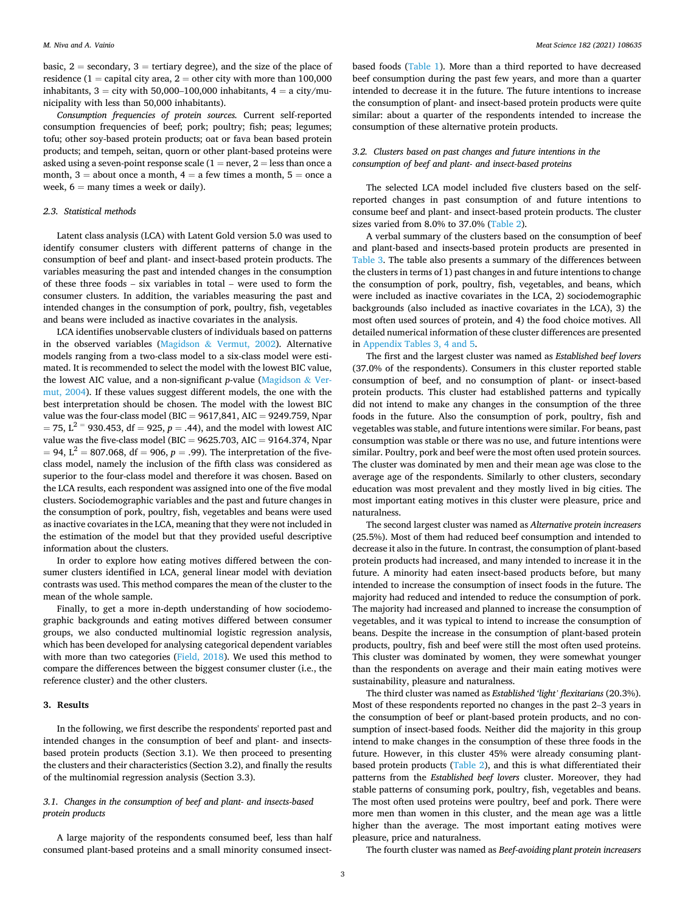basic,  $2 =$  secondary,  $3 =$  tertiary degree), and the size of the place of residence (1 = capital city area, 2 = other city with more than  $100,000$ inhabitants,  $3 = \text{city}$  with 50,000–100,000 inhabitants,  $4 = \text{a city/mu}$ nicipality with less than 50,000 inhabitants).

*Consumption frequencies of protein sources.* Current self-reported consumption frequencies of beef; pork; poultry; fish; peas; legumes; tofu; other soy-based protein products; oat or fava bean based protein products; and tempeh, seitan, quorn or other plant-based proteins were asked using a seven-point response scale  $(1 = never, 2 = less than once a$ month,  $3 =$  about once a month,  $4 =$  a few times a month,  $5 =$  once a week,  $6 =$  many times a week or daily).

### *2.3. Statistical methods*

Latent class analysis (LCA) with Latent Gold version 5.0 was used to identify consumer clusters with different patterns of change in the consumption of beef and plant- and insect-based protein products. The variables measuring the past and intended changes in the consumption of these three foods – six variables in total – were used to form the consumer clusters. In addition, the variables measuring the past and intended changes in the consumption of pork, poultry, fish, vegetables and beans were included as inactive covariates in the analysis.

LCA identifies unobservable clusters of individuals based on patterns in the observed variables (Magidson  $&$  Vermut, 2002). Alternative models ranging from a two-class model to a six-class model were estimated. It is recommended to select the model with the lowest BIC value, the lowest AIC value, and a non-significant *p*-value (Magidson & Vermut, 2004). If these values suggest different models, the one with the best interpretation should be chosen. The model with the lowest BIC value was the four-class model (BIC =  $9617,841$ , AIC =  $9249.759$ , Npar  $= 75$ ,  $L^{2} = 930.453$ , df = 925, p = .44), and the model with lowest AIC value was the five-class model (BIC =  $9625.703$ , AIC =  $9164.374$ , Npar  $= 94$ ,  $L^2 = 807.068$ , df = 906, p = .99). The interpretation of the fiveclass model, namely the inclusion of the fifth class was considered as superior to the four-class model and therefore it was chosen. Based on the LCA results, each respondent was assigned into one of the five modal clusters. Sociodemographic variables and the past and future changes in the consumption of pork, poultry, fish, vegetables and beans were used as inactive covariates in the LCA, meaning that they were not included in the estimation of the model but that they provided useful descriptive information about the clusters.

In order to explore how eating motives differed between the consumer clusters identified in LCA, general linear model with deviation contrasts was used. This method compares the mean of the cluster to the mean of the whole sample.

Finally, to get a more in-depth understanding of how sociodemographic backgrounds and eating motives differed between consumer groups, we also conducted multinomial logistic regression analysis, which has been developed for analysing categorical dependent variables with more than two categories (Field, 2018). We used this method to compare the differences between the biggest consumer cluster (i.e., the reference cluster) and the other clusters.

#### **3. Results**

In the following, we first describe the respondents' reported past and intended changes in the consumption of beef and plant- and insectsbased protein products (Section 3.1). We then proceed to presenting the clusters and their characteristics (Section 3.2), and finally the results of the multinomial regression analysis (Section 3.3).

## *3.1. Changes in the consumption of beef and plant- and insects-based protein products*

A large majority of the respondents consumed beef, less than half consumed plant-based proteins and a small minority consumed insect-

based foods (Table 1). More than a third reported to have decreased beef consumption during the past few years, and more than a quarter intended to decrease it in the future. The future intentions to increase the consumption of plant- and insect-based protein products were quite similar: about a quarter of the respondents intended to increase the consumption of these alternative protein products.

## *3.2. Clusters based on past changes and future intentions in the consumption of beef and plant- and insect-based proteins*

The selected LCA model included five clusters based on the selfreported changes in past consumption of and future intentions to consume beef and plant- and insect-based protein products. The cluster sizes varied from 8.0% to 37.0% (Table 2).

A verbal summary of the clusters based on the consumption of beef and plant-based and insects-based protein products are presented in Table 3. The table also presents a summary of the differences between the clusters in terms of 1) past changes in and future intentions to change the consumption of pork, poultry, fish, vegetables, and beans, which were included as inactive covariates in the LCA, 2) sociodemographic backgrounds (also included as inactive covariates in the LCA), 3) the most often used sources of protein, and 4) the food choice motives. All detailed numerical information of these cluster differences are presented in Appendix Tables 3, 4 and 5.

The first and the largest cluster was named as *Established beef lovers*  (37.0% of the respondents). Consumers in this cluster reported stable consumption of beef, and no consumption of plant- or insect-based protein products. This cluster had established patterns and typically did not intend to make any changes in the consumption of the three foods in the future. Also the consumption of pork, poultry, fish and vegetables was stable, and future intentions were similar. For beans, past consumption was stable or there was no use, and future intentions were similar. Poultry, pork and beef were the most often used protein sources. The cluster was dominated by men and their mean age was close to the average age of the respondents. Similarly to other clusters, secondary education was most prevalent and they mostly lived in big cities. The most important eating motives in this cluster were pleasure, price and naturalness.

The second largest cluster was named as *Alternative protein increasers*  (25.5%). Most of them had reduced beef consumption and intended to decrease it also in the future. In contrast, the consumption of plant-based protein products had increased, and many intended to increase it in the future. A minority had eaten insect-based products before, but many intended to increase the consumption of insect foods in the future. The majority had reduced and intended to reduce the consumption of pork. The majority had increased and planned to increase the consumption of vegetables, and it was typical to intend to increase the consumption of beans. Despite the increase in the consumption of plant-based protein products, poultry, fish and beef were still the most often used proteins. This cluster was dominated by women, they were somewhat younger than the respondents on average and their main eating motives were sustainability, pleasure and naturalness.

The third cluster was named as *Established 'light' flexitarians* (20.3%). Most of these respondents reported no changes in the past 2–3 years in the consumption of beef or plant-based protein products, and no consumption of insect-based foods. Neither did the majority in this group intend to make changes in the consumption of these three foods in the future. However, in this cluster 45% were already consuming plantbased protein products (Table 2), and this is what differentiated their patterns from the *Established beef lovers* cluster. Moreover, they had stable patterns of consuming pork, poultry, fish, vegetables and beans. The most often used proteins were poultry, beef and pork. There were more men than women in this cluster, and the mean age was a little higher than the average. The most important eating motives were pleasure, price and naturalness.

The fourth cluster was named as *Beef-avoiding plant protein increasers*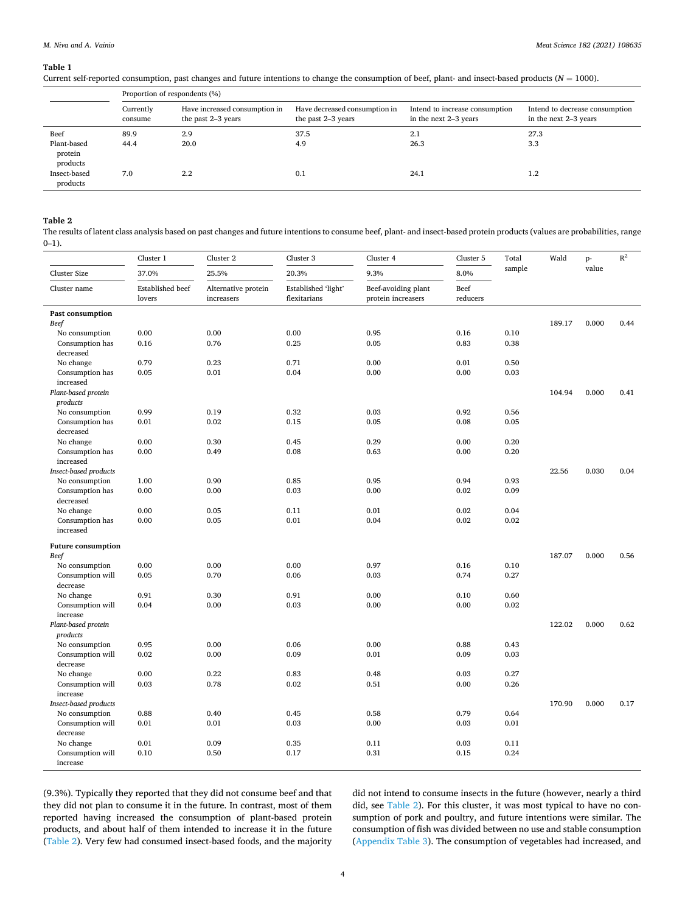#### **Table 1**

Current self-reported consumption, past changes and future intentions to change the consumption of beef, plant- and insect-based products (*N* = 1000).

|                                            | Proportion of respondents (%) |                                                     |                                                     |                                                         |                                                         |  |  |  |
|--------------------------------------------|-------------------------------|-----------------------------------------------------|-----------------------------------------------------|---------------------------------------------------------|---------------------------------------------------------|--|--|--|
|                                            | Currently<br>consume          | Have increased consumption in<br>the past 2–3 years | Have decreased consumption in<br>the past 2–3 years | Intend to increase consumption<br>in the next 2–3 years | Intend to decrease consumption<br>in the next 2–3 years |  |  |  |
| Beef<br>Plant-based<br>protein<br>products | 89.9<br>44.4                  | 2.9<br>20.0                                         | 37.5<br>4.9                                         | 2.1<br>26.3                                             | 27.3<br>3.3                                             |  |  |  |
| Insect-based<br>products                   | 7.0                           | 2.2                                                 | 0.1                                                 | 24.1                                                    | 1.2                                                     |  |  |  |

#### **Table 2**

The results of latent class analysis based on past changes and future intentions to consume beef, plant- and insect-based protein products (values are probabilities, range  $0-1$ ).

|                              | Cluster 1                  | Cluster <sub>2</sub>              | Cluster 3                           | Cluster 4                                 | Cluster 5        | Total  | Wald   | p-    | $\mathbb{R}^2$ |
|------------------------------|----------------------------|-----------------------------------|-------------------------------------|-------------------------------------------|------------------|--------|--------|-------|----------------|
| <b>Cluster Size</b>          | 37.0%                      | 25.5%                             | 20.3%                               | 9.3%                                      | 8.0%             | sample |        | value |                |
| Cluster name                 | Established beef<br>lovers | Alternative protein<br>increasers | Established 'light'<br>flexitarians | Beef-avoiding plant<br>protein increasers | Beef<br>reducers |        |        |       |                |
| Past consumption             |                            |                                   |                                     |                                           |                  |        |        |       |                |
| <b>Beef</b>                  |                            |                                   |                                     |                                           |                  |        | 189.17 | 0.000 | 0.44           |
| No consumption               | 0.00                       | 0.00                              | 0.00                                | 0.95                                      | 0.16             | 0.10   |        |       |                |
| Consumption has<br>decreased | 0.16                       | 0.76                              | 0.25                                | 0.05                                      | 0.83             | 0.38   |        |       |                |
| No change                    | 0.79                       | 0.23                              | 0.71                                | 0.00                                      | 0.01             | 0.50   |        |       |                |
| Consumption has              | 0.05                       | 0.01                              | 0.04                                | 0.00                                      | 0.00             | 0.03   |        |       |                |
| increased                    |                            |                                   |                                     |                                           |                  |        |        |       |                |
| Plant-based protein          |                            |                                   |                                     |                                           |                  |        | 104.94 | 0.000 | 0.41           |
| products                     |                            |                                   |                                     |                                           |                  |        |        |       |                |
| No consumption               | 0.99                       | 0.19                              | 0.32                                | 0.03                                      | 0.92             | 0.56   |        |       |                |
| Consumption has              | 0.01                       | 0.02                              | 0.15                                | 0.05                                      | 0.08             | 0.05   |        |       |                |
| decreased                    |                            |                                   |                                     |                                           |                  |        |        |       |                |
| No change                    | 0.00                       | 0.30                              | 0.45                                | 0.29                                      | 0.00             | 0.20   |        |       |                |
| Consumption has<br>increased | 0.00                       | 0.49                              | 0.08                                | 0.63                                      | 0.00             | 0.20   |        |       |                |
| Insect-based products        |                            |                                   |                                     |                                           |                  |        | 22.56  | 0.030 | 0.04           |
| No consumption               | 1.00                       | 0.90                              | 0.85                                | 0.95                                      | 0.94             | 0.93   |        |       |                |
| Consumption has<br>decreased | 0.00                       | 0.00                              | 0.03                                | 0.00                                      | 0.02             | 0.09   |        |       |                |
| No change                    | 0.00                       | 0.05                              | 0.11                                | 0.01                                      | 0.02             | 0.04   |        |       |                |
| Consumption has<br>increased | 0.00                       | 0.05                              | 0.01                                | 0.04                                      | 0.02             | 0.02   |        |       |                |
| <b>Future consumption</b>    |                            |                                   |                                     |                                           |                  |        |        |       |                |
| <b>Beef</b>                  |                            |                                   |                                     |                                           |                  |        | 187.07 | 0.000 | 0.56           |
| No consumption               | 0.00                       | 0.00                              | 0.00                                | 0.97                                      | 0.16             | 0.10   |        |       |                |
| Consumption will<br>decrease | 0.05                       | 0.70                              | 0.06                                | 0.03                                      | 0.74             | 0.27   |        |       |                |
| No change                    | 0.91                       | 0.30                              | 0.91                                | 0.00                                      | 0.10             | 0.60   |        |       |                |
| Consumption will<br>increase | 0.04                       | 0.00                              | 0.03                                | 0.00                                      | 0.00             | 0.02   |        |       |                |
| Plant-based protein          |                            |                                   |                                     |                                           |                  |        | 122.02 | 0.000 | 0.62           |
| products                     |                            |                                   |                                     |                                           |                  |        |        |       |                |
| No consumption               | 0.95                       | 0.00                              | 0.06                                | 0.00                                      | 0.88             | 0.43   |        |       |                |
| Consumption will<br>decrease | 0.02                       | 0.00                              | 0.09                                | 0.01                                      | 0.09             | 0.03   |        |       |                |
| No change                    | 0.00                       | 0.22                              | 0.83                                | 0.48                                      | 0.03             | 0.27   |        |       |                |
| Consumption will             | 0.03                       | 0.78                              | 0.02                                | 0.51                                      | 0.00             | 0.26   |        |       |                |
| increase                     |                            |                                   |                                     |                                           |                  |        |        |       |                |
| Insect-based products        |                            |                                   |                                     |                                           |                  |        | 170.90 | 0.000 | 0.17           |
| No consumption               | 0.88                       | 0.40                              | 0.45                                | 0.58                                      | 0.79             | 0.64   |        |       |                |
| Consumption will<br>decrease | 0.01                       | 0.01                              | 0.03                                | 0.00                                      | 0.03             | 0.01   |        |       |                |
| No change                    | 0.01                       | 0.09                              | 0.35                                | 0.11                                      | 0.03             | 0.11   |        |       |                |
| Consumption will<br>increase | 0.10                       | 0.50                              | 0.17                                | 0.31                                      | 0.15             | 0.24   |        |       |                |

(9.3%). Typically they reported that they did not consume beef and that they did not plan to consume it in the future. In contrast, most of them reported having increased the consumption of plant-based protein products, and about half of them intended to increase it in the future (Table 2). Very few had consumed insect-based foods, and the majority did not intend to consume insects in the future (however, nearly a third did, see Table 2). For this cluster, it was most typical to have no consumption of pork and poultry, and future intentions were similar. The consumption of fish was divided between no use and stable consumption (Appendix Table 3). The consumption of vegetables had increased, and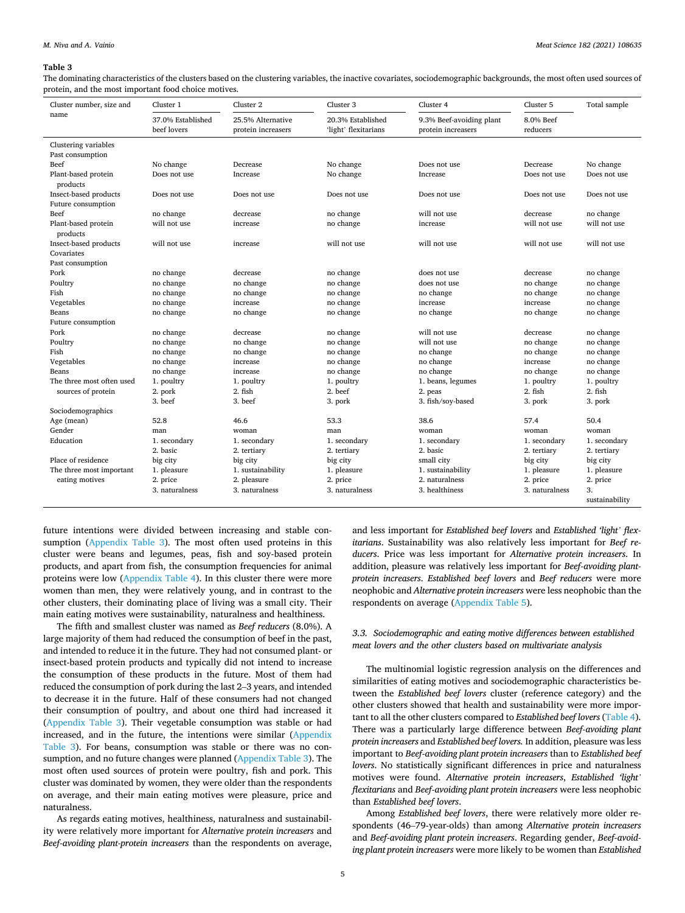#### **Table 3**

The dominating characteristics of the clusters based on the clustering variables, the inactive covariates, sociodemographic backgrounds, the most often used sources of protein, and the most important food choice motives.

| Cluster number, size and        | Cluster 1                        | Cluster 2                               | Cluster 3                                 | Cluster 4                                      | Cluster 5             | Total sample   |
|---------------------------------|----------------------------------|-----------------------------------------|-------------------------------------------|------------------------------------------------|-----------------------|----------------|
| name                            | 37.0% Established<br>beef lovers | 25.5% Alternative<br>protein increasers | 20.3% Established<br>'light' flexitarians | 9.3% Beef-avoiding plant<br>protein increasers | 8.0% Beef<br>reducers |                |
| Clustering variables            |                                  |                                         |                                           |                                                |                       |                |
| Past consumption                |                                  |                                         |                                           |                                                |                       |                |
| Beef                            | No change                        | Decrease                                | No change                                 | Does not use                                   | Decrease              | No change      |
| Plant-based protein<br>products | Does not use                     | Increase                                | No change                                 | Increase                                       | Does not use          | Does not use   |
| Insect-based products           | Does not use                     | Does not use                            | Does not use                              | Does not use                                   | Does not use          | Does not use   |
| Future consumption              |                                  |                                         |                                           |                                                |                       |                |
| Beef                            | no change                        | decrease                                | no change                                 | will not use                                   | decrease              | no change      |
| Plant-based protein             | will not use                     | increase                                | no change                                 | increase                                       | will not use          | will not use   |
| products                        |                                  |                                         |                                           |                                                |                       |                |
| Insect-based products           | will not use                     | increase                                | will not use                              | will not use                                   | will not use          | will not use   |
| Covariates                      |                                  |                                         |                                           |                                                |                       |                |
| Past consumption                |                                  |                                         |                                           |                                                |                       |                |
| Pork                            | no change                        | decrease                                | no change                                 | does not use                                   | decrease              | no change      |
| Poultry                         | no change                        | no change                               | no change                                 | does not use                                   | no change             | no change      |
| Fish                            | no change                        | no change                               | no change                                 | no change                                      | no change             | no change      |
| Vegetables                      | no change                        | increase                                | no change                                 | increase                                       | increase              | no change      |
| Beans                           | no change                        | no change                               | no change                                 | no change                                      | no change             | no change      |
| Future consumption              |                                  |                                         |                                           |                                                |                       |                |
| Pork                            | no change                        | decrease                                | no change                                 | will not use                                   | decrease              | no change      |
| Poultry                         | no change                        | no change                               | no change                                 | will not use                                   | no change             | no change      |
| Fish                            | no change                        | no change                               | no change                                 | no change                                      | no change             | no change      |
| Vegetables                      | no change                        | increase                                | no change                                 | no change                                      | increase              | no change      |
| Beans                           | no change                        | increase                                | no change                                 | no change                                      | no change             | no change      |
| The three most often used       | 1. poultry                       | 1. poultry                              | 1. poultry                                | 1. beans, legumes                              | 1. poultry            | 1. poultry     |
| sources of protein              | 2. pork                          | 2. fish                                 | 2. beef                                   | 2. peas                                        | 2. fish               | 2. fish        |
|                                 | 3. beef                          | 3. beef                                 | 3. pork                                   | 3. fish/soy-based                              | 3. pork               | 3. pork        |
| Sociodemographics               |                                  |                                         |                                           |                                                |                       |                |
| Age (mean)                      | 52.8                             | 46.6                                    | 53.3                                      | 38.6                                           | 57.4                  | 50.4           |
| Gender                          | man                              | woman                                   | man                                       | woman                                          | woman                 | woman          |
| Education                       | 1. secondary                     | 1. secondary                            | 1. secondary                              | 1. secondary                                   | 1. secondary          | 1. secondary   |
|                                 | 2. basic                         | 2. tertiary                             | 2. tertiary                               | 2. basic                                       | 2. tertiary           | 2. tertiary    |
| Place of residence              | big city                         | big city                                | big city                                  | small city                                     | big city              | big city       |
| The three most important        | 1. pleasure                      | 1. sustainability                       | 1. pleasure                               | 1. sustainability                              | 1. pleasure           | 1. pleasure    |
| eating motives                  | 2. price                         | 2. pleasure                             | 2. price                                  | 2. naturalness                                 | 2. price              | 2. price       |
|                                 | 3. naturalness                   | 3. naturalness                          | 3. naturalness                            | 3. healthiness                                 | 3. naturalness        | 3.             |
|                                 |                                  |                                         |                                           |                                                |                       | sustainability |

future intentions were divided between increasing and stable consumption (Appendix Table 3). The most often used proteins in this cluster were beans and legumes, peas, fish and soy-based protein products, and apart from fish, the consumption frequencies for animal proteins were low (Appendix Table 4). In this cluster there were more women than men, they were relatively young, and in contrast to the other clusters, their dominating place of living was a small city. Their main eating motives were sustainability, naturalness and healthiness.

The fifth and smallest cluster was named as *Beef reducers* (8.0%). A large majority of them had reduced the consumption of beef in the past, and intended to reduce it in the future. They had not consumed plant- or insect-based protein products and typically did not intend to increase the consumption of these products in the future. Most of them had reduced the consumption of pork during the last 2–3 years, and intended to decrease it in the future. Half of these consumers had not changed their consumption of poultry, and about one third had increased it (Appendix Table 3). Their vegetable consumption was stable or had increased, and in the future, the intentions were similar (Appendix Table 3). For beans, consumption was stable or there was no consumption, and no future changes were planned (Appendix Table 3). The most often used sources of protein were poultry, fish and pork. This cluster was dominated by women, they were older than the respondents on average, and their main eating motives were pleasure, price and naturalness.

As regards eating motives, healthiness, naturalness and sustainability were relatively more important for *Alternative protein increasers* and *Beef-avoiding plant-protein increasers* than the respondents on average,

and less important for *Established beef lovers* and *Established 'light' flexitarians*. Sustainability was also relatively less important for *Beef reducers*. Price was less important for *Alternative protein increasers*. In addition, pleasure was relatively less important for *Beef-avoiding plantprotein increasers*. *Established beef lovers* and *Beef reducers* were more neophobic and *Alternative protein increasers* were less neophobic than the respondents on average (Appendix Table 5).

## *3.3. Sociodemographic and eating motive differences between established meat lovers and the other clusters based on multivariate analysis*

The multinomial logistic regression analysis on the differences and similarities of eating motives and sociodemographic characteristics between the *Established beef lovers* cluster (reference category) and the other clusters showed that health and sustainability were more important to all the other clusters compared to *Established beef lovers* (Table 4). There was a particularly large difference between *Beef-avoiding plant protein increasers* and *Established beef lovers.* In addition, pleasure was less important to *Beef-avoiding plant protein increasers* than to *Established beef lovers*. No statistically significant differences in price and naturalness motives were found. *Alternative protein increasers*, *Established 'light' flexitarians* and *Beef-avoiding plant protein increasers* were less neophobic than *Established beef lovers*.

Among *Established beef lovers*, there were relatively more older respondents (46–79-year-olds) than among *Alternative protein increasers*  and *Beef-avoiding plant protein increasers*. Regarding gender, *Beef-avoiding plant protein increasers* were more likely to be women than *Established*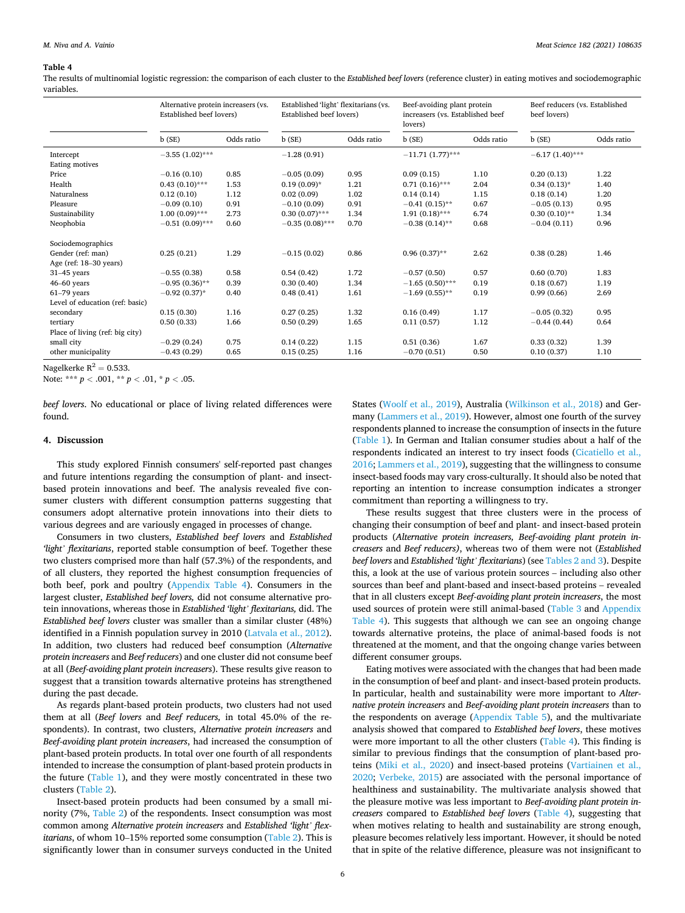#### **Table 4**

The results of multinomial logistic regression: the comparison of each cluster to the *Established beef lovers* (reference cluster) in eating motives and sociodemographic variables.

|                                 | Alternative protein increasers (vs.<br>Established beef lovers) |            | Established 'light' flexitarians (vs.<br>Established beef lovers) |            | Beef-avoiding plant protein<br>increasers (vs. Established beef<br>lovers) |            | Beef reducers (vs. Established<br>beef lovers) |            |
|---------------------------------|-----------------------------------------------------------------|------------|-------------------------------------------------------------------|------------|----------------------------------------------------------------------------|------------|------------------------------------------------|------------|
|                                 | b(SE)                                                           | Odds ratio | b(SE)                                                             | Odds ratio | b(SE)                                                                      | Odds ratio | b(SE)                                          | Odds ratio |
| Intercept                       | $-3.55(1.02)$ ***                                               |            | $-1.28(0.91)$                                                     |            | $-11.71(1.77)$ ***                                                         |            | $-6.17(1.40)$ ***                              |            |
| Eating motives                  |                                                                 |            |                                                                   |            |                                                                            |            |                                                |            |
| Price                           | $-0.16(0.10)$                                                   | 0.85       | $-0.05(0.09)$                                                     | 0.95       | 0.09(0.15)                                                                 | 1.10       | 0.20(0.13)                                     | 1.22       |
| Health                          | $0.43(0.10)$ ***                                                | 1.53       | $0.19(0.09)*$                                                     | 1.21       | $0.71(0.16)$ ***                                                           | 2.04       | $0.34(0.13)*$                                  | 1.40       |
| Naturalness                     | 0.12(0.10)                                                      | 1.12       | 0.02(0.09)                                                        | 1.02       | 0.14(0.14)                                                                 | 1.15       | 0.18(0.14)                                     | 1.20       |
| Pleasure                        | $-0.09(0.10)$                                                   | 0.91       | $-0.10(0.09)$                                                     | 0.91       | $-0.41(0.15)$ **                                                           | 0.67       | $-0.05(0.13)$                                  | 0.95       |
| Sustainability                  | $1.00(0.09)$ ***                                                | 2.73       | $0.30(0.07)$ ***                                                  | 1.34       | $1.91(0.18)$ ***                                                           | 6.74       | $0.30(0.10)$ **                                | 1.34       |
| Neophobia                       | $-0.51(0.09)$ ***                                               | 0.60       | $-0.35(0.08)$ ***                                                 | 0.70       | $-0.38(0.14)$ **                                                           | 0.68       | $-0.04(0.11)$                                  | 0.96       |
| Sociodemographics               |                                                                 |            |                                                                   |            |                                                                            |            |                                                |            |
| Gender (ref: man)               | 0.25(0.21)                                                      | 1.29       | $-0.15(0.02)$                                                     | 0.86       | $0.96(0.37)$ **                                                            | 2.62       | 0.38(0.28)                                     | 1.46       |
| Age (ref: $18-30$ years)        |                                                                 |            |                                                                   |            |                                                                            |            |                                                |            |
| $31-45$ years                   | $-0.55(0.38)$                                                   | 0.58       | 0.54(0.42)                                                        | 1.72       | $-0.57(0.50)$                                                              | 0.57       | 0.60(0.70)                                     | 1.83       |
| $46-60$ years                   | $-0.95(0.36)$ **                                                | 0.39       | 0.30(0.40)                                                        | 1.34       | $-1.65(0.50)$ ***                                                          | 0.19       | 0.18(0.67)                                     | 1.19       |
| $61-79$ years                   | $-0.92(0.37)$ *                                                 | 0.40       | 0.48(0.41)                                                        | 1.61       | $-1.69(0.55)$ **                                                           | 0.19       | 0.99(0.66)                                     | 2.69       |
| Level of education (ref: basic) |                                                                 |            |                                                                   |            |                                                                            |            |                                                |            |
| secondary                       | 0.15(0.30)                                                      | 1.16       | 0.27(0.25)                                                        | 1.32       | 0.16(0.49)                                                                 | 1.17       | $-0.05(0.32)$                                  | 0.95       |
| tertiary                        | 0.50(0.33)                                                      | 1.66       | 0.50(0.29)                                                        | 1.65       | 0.11(0.57)                                                                 | 1.12       | $-0.44(0.44)$                                  | 0.64       |
| Place of living (ref: big city) |                                                                 |            |                                                                   |            |                                                                            |            |                                                |            |
| small city                      | $-0.29(0.24)$                                                   | 0.75       | 0.14(0.22)                                                        | 1.15       | 0.51(0.36)                                                                 | 1.67       | 0.33(0.32)                                     | 1.39       |
| other municipality              | $-0.43(0.29)$                                                   | 0.65       | 0.15(0.25)                                                        | 1.16       | $-0.70(0.51)$                                                              | 0.50       | 0.10(0.37)                                     | 1.10       |

Nagelkerke  $R^2 = 0.533$ .

Note: \*\*\* *p <* .001, \*\* *p <* .01, \* *p <* .05.

*beef lovers*. No educational or place of living related differences were found.

### **4. Discussion**

This study explored Finnish consumers' self-reported past changes and future intentions regarding the consumption of plant- and insectbased protein innovations and beef. The analysis revealed five consumer clusters with different consumption patterns suggesting that consumers adopt alternative protein innovations into their diets to various degrees and are variously engaged in processes of change.

Consumers in two clusters, *Established beef lovers* and *Established*  'light' flexitarians, reported stable consumption of beef. Together these two clusters comprised more than half (57.3%) of the respondents, and of all clusters, they reported the highest consumption frequencies of both beef, pork and poultry (Appendix Table 4). Consumers in the largest cluster, *Established beef lovers,* did not consume alternative protein innovations, whereas those in *Established 'light' flexitarians,* did. The *Established beef lovers* cluster was smaller than a similar cluster (48%) identified in a Finnish population survey in 2010 (Latvala et al., 2012). In addition, two clusters had reduced beef consumption (*Alternative protein increasers* and *Beef reducers*) and one cluster did not consume beef at all (*Beef-avoiding plant protein increasers*). These results give reason to suggest that a transition towards alternative proteins has strengthened during the past decade.

As regards plant-based protein products, two clusters had not used them at all (*Beef lovers* and *Beef reducers,* in total 45.0% of the respondents). In contrast, two clusters, *Alternative protein increasers* and *Beef-avoiding plant protein increasers*, had increased the consumption of plant-based protein products. In total over one fourth of all respondents intended to increase the consumption of plant-based protein products in the future (Table 1), and they were mostly concentrated in these two clusters (Table 2).

Insect-based protein products had been consumed by a small minority (7%, Table 2) of the respondents. Insect consumption was most common among *Alternative protein increasers* and *Established 'light' flexitarians*, of whom 10–15% reported some consumption (Table 2). This is significantly lower than in consumer surveys conducted in the United

States (Woolf et al., 2019), Australia (Wilkinson et al., 2018) and Germany (Lammers et al., 2019). However, almost one fourth of the survey respondents planned to increase the consumption of insects in the future (Table 1). In German and Italian consumer studies about a half of the respondents indicated an interest to try insect foods (Cicatiello et al., 2016; Lammers et al., 2019), suggesting that the willingness to consume insect-based foods may vary cross-culturally. It should also be noted that reporting an intention to increase consumption indicates a stronger commitment than reporting a willingness to try.

These results suggest that three clusters were in the process of changing their consumption of beef and plant- and insect-based protein products (*Alternative protein increasers, Beef-avoiding plant protein increasers* and *Beef reducers)*, whereas two of them were not (*Established beef lovers* and *Established 'light' flexitarians*) (see Tables 2 and 3). Despite this, a look at the use of various protein sources – including also other sources than beef and plant-based and insect-based proteins – revealed that in all clusters except *Beef-avoiding plant protein increasers*, the most used sources of protein were still animal-based (Table 3 and Appendix Table 4). This suggests that although we can see an ongoing change towards alternative proteins, the place of animal-based foods is not threatened at the moment, and that the ongoing change varies between different consumer groups.

Eating motives were associated with the changes that had been made in the consumption of beef and plant- and insect-based protein products. In particular, health and sustainability were more important to *Alternative protein increasers* and *Beef-avoiding plant protein increasers* than to the respondents on average (Appendix Table 5), and the multivariate analysis showed that compared to *Established beef lovers*, these motives were more important to all the other clusters (Table 4). This finding is similar to previous findings that the consumption of plant-based proteins (Miki et al., 2020) and insect-based proteins (Vartiainen et al., 2020; Verbeke, 2015) are associated with the personal importance of healthiness and sustainability. The multivariate analysis showed that the pleasure motive was less important to *Beef-avoiding plant protein increasers* compared to *Established beef lovers* (Table 4), suggesting that when motives relating to health and sustainability are strong enough, pleasure becomes relatively less important. However, it should be noted that in spite of the relative difference, pleasure was not insignificant to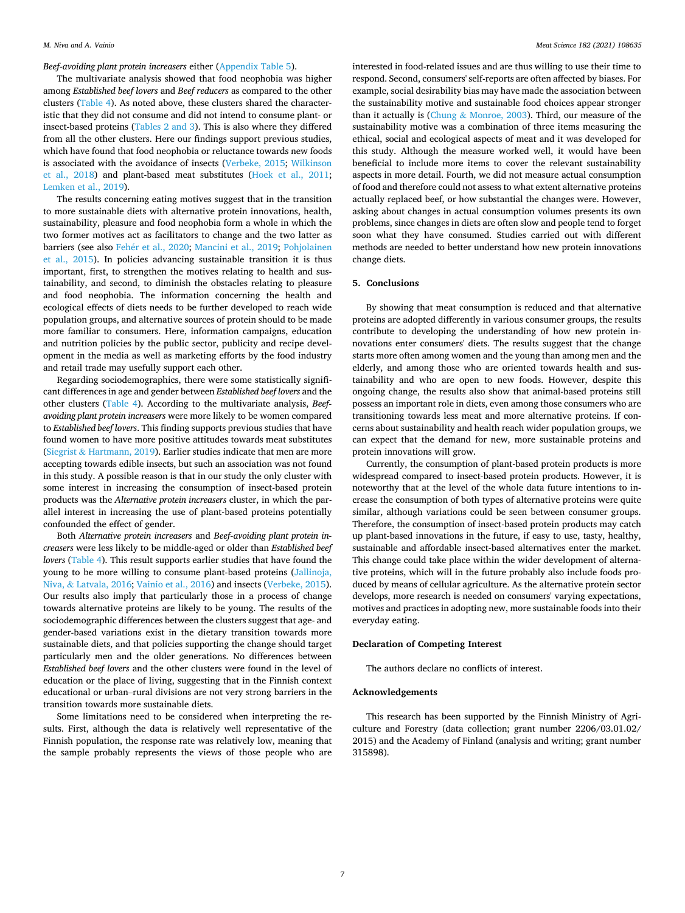*Beef-avoiding plant protein increasers* either (Appendix Table 5).

The multivariate analysis showed that food neophobia was higher among *Established beef lovers* and *Beef reducers* as compared to the other clusters (Table 4). As noted above, these clusters shared the characteristic that they did not consume and did not intend to consume plant- or insect-based proteins (Tables 2 and 3). This is also where they differed from all the other clusters. Here our findings support previous studies, which have found that food neophobia or reluctance towards new foods is associated with the avoidance of insects (Verbeke, 2015; Wilkinson et al., 2018) and plant-based meat substitutes (Hoek et al., 2011; Lemken et al., 2019).

The results concerning eating motives suggest that in the transition to more sustainable diets with alternative protein innovations, health, sustainability, pleasure and food neophobia form a whole in which the two former motives act as facilitators to change and the two latter as barriers (see also Fehér et al., 2020; Mancini et al., 2019; Pohjolainen et al., 2015). In policies advancing sustainable transition it is thus important, first, to strengthen the motives relating to health and sustainability, and second, to diminish the obstacles relating to pleasure and food neophobia. The information concerning the health and ecological effects of diets needs to be further developed to reach wide population groups, and alternative sources of protein should to be made more familiar to consumers. Here, information campaigns, education and nutrition policies by the public sector, publicity and recipe development in the media as well as marketing efforts by the food industry and retail trade may usefully support each other.

Regarding sociodemographics, there were some statistically significant differences in age and gender between *Established beef lovers* and the other clusters (Table 4). According to the multivariate analysis, *Beefavoiding plant protein increasers* were more likely to be women compared to *Established beef lovers*. This finding supports previous studies that have found women to have more positive attitudes towards meat substitutes (Siegrist & Hartmann, 2019). Earlier studies indicate that men are more accepting towards edible insects, but such an association was not found in this study. A possible reason is that in our study the only cluster with some interest in increasing the consumption of insect-based protein products was the *Alternative protein increasers* cluster, in which the parallel interest in increasing the use of plant-based proteins potentially confounded the effect of gender.

Both *Alternative protein increasers* and *Beef-avoiding plant protein increasers* were less likely to be middle-aged or older than *Established beef lovers* (Table 4). This result supports earlier studies that have found the young to be more willing to consume plant-based proteins (Jallinoja, Niva, & Latvala, 2016; Vainio et al., 2016) and insects (Verbeke, 2015). Our results also imply that particularly those in a process of change towards alternative proteins are likely to be young. The results of the sociodemographic differences between the clusters suggest that age- and gender-based variations exist in the dietary transition towards more sustainable diets, and that policies supporting the change should target particularly men and the older generations. No differences between *Established beef lovers* and the other clusters were found in the level of education or the place of living, suggesting that in the Finnish context educational or urban–rural divisions are not very strong barriers in the transition towards more sustainable diets.

Some limitations need to be considered when interpreting the results. First, although the data is relatively well representative of the Finnish population, the response rate was relatively low, meaning that the sample probably represents the views of those people who are

interested in food-related issues and are thus willing to use their time to respond. Second, consumers' self-reports are often affected by biases. For example, social desirability bias may have made the association between the sustainability motive and sustainable food choices appear stronger than it actually is (Chung  $&$  Monroe, 2003). Third, our measure of the sustainability motive was a combination of three items measuring the ethical, social and ecological aspects of meat and it was developed for this study. Although the measure worked well, it would have been beneficial to include more items to cover the relevant sustainability aspects in more detail. Fourth, we did not measure actual consumption of food and therefore could not assess to what extent alternative proteins actually replaced beef, or how substantial the changes were. However, asking about changes in actual consumption volumes presents its own problems, since changes in diets are often slow and people tend to forget soon what they have consumed. Studies carried out with different methods are needed to better understand how new protein innovations change diets.

## **5. Conclusions**

By showing that meat consumption is reduced and that alternative proteins are adopted differently in various consumer groups, the results contribute to developing the understanding of how new protein innovations enter consumers' diets. The results suggest that the change starts more often among women and the young than among men and the elderly, and among those who are oriented towards health and sustainability and who are open to new foods. However, despite this ongoing change, the results also show that animal-based proteins still possess an important role in diets, even among those consumers who are transitioning towards less meat and more alternative proteins. If concerns about sustainability and health reach wider population groups, we can expect that the demand for new, more sustainable proteins and protein innovations will grow.

Currently, the consumption of plant-based protein products is more widespread compared to insect-based protein products. However, it is noteworthy that at the level of the whole data future intentions to increase the consumption of both types of alternative proteins were quite similar, although variations could be seen between consumer groups. Therefore, the consumption of insect-based protein products may catch up plant-based innovations in the future, if easy to use, tasty, healthy, sustainable and affordable insect-based alternatives enter the market. This change could take place within the wider development of alternative proteins, which will in the future probably also include foods produced by means of cellular agriculture. As the alternative protein sector develops, more research is needed on consumers' varying expectations, motives and practices in adopting new, more sustainable foods into their everyday eating.

#### **Declaration of Competing Interest**

The authors declare no conflicts of interest.

#### **Acknowledgements**

This research has been supported by the Finnish Ministry of Agriculture and Forestry (data collection; grant number 2206/03.01.02/ 2015) and the Academy of Finland (analysis and writing; grant number 315898).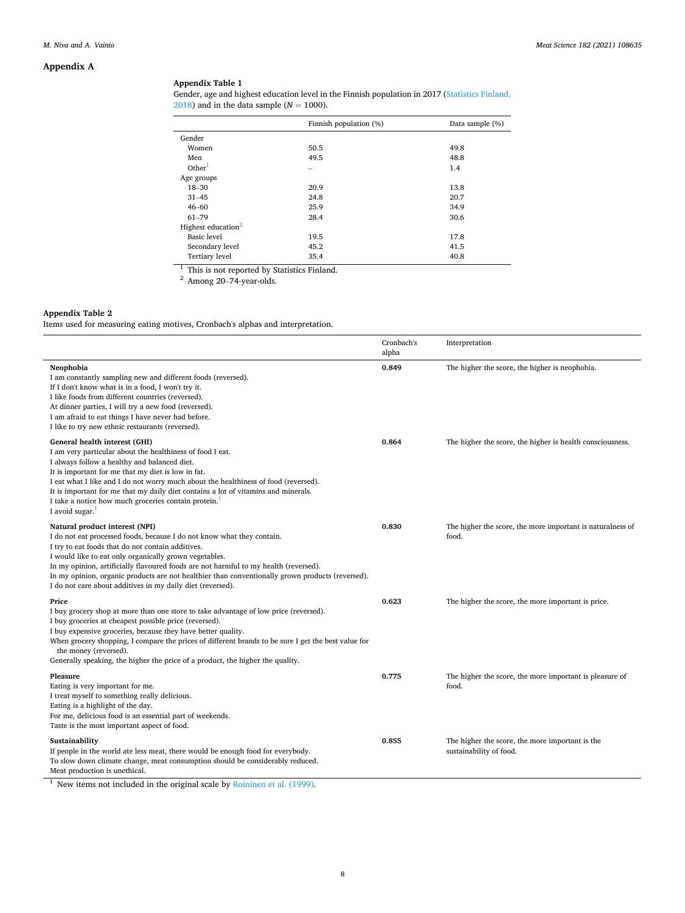## **Appendix A**

## **Appendix Table 1**

| Gender, age and highest education level in the Finnish population in 2017 (Statistics Finland, |
|------------------------------------------------------------------------------------------------|
| 2018) and in the data sample ( $N = 1000$ ).                                                   |

|                                | Finnish population (%)   | Data sample (%) |
|--------------------------------|--------------------------|-----------------|
| Gender                         |                          |                 |
| Women                          | 50.5                     | 49.8            |
| Men                            | 49.5                     | 48.8            |
| Other <sup>1</sup>             | $\overline{\phantom{0}}$ | 1.4             |
| Age groups                     |                          |                 |
| $18 - 30$                      | 20.9                     | 13.8            |
| $31 - 45$                      | 24.8                     | 20.7            |
| $46 - 60$                      | 25.9                     | 34.9            |
| $61 - 79$                      | 28.4                     | 30.6            |
| Highest education <sup>2</sup> |                          |                 |
| <b>Basic</b> level             | 19.5                     | 17.8            |
| Secondary level                | 45.2                     | 41.5            |
| Tertiary level                 | 35.4                     | 40.8            |

<sup>1</sup> This is not reported by Statistics Finland.<sup>2</sup> Among 20–74-year-olds.

## **Appendix Table 2**

Items used for measuring eating motives, Cronbach's alphas and interpretation.

|                                                                                                                                                                                                                                                                                                                                                                                                                                                                                   | Cronbach's<br>alpha | Interpretation                                                             |
|-----------------------------------------------------------------------------------------------------------------------------------------------------------------------------------------------------------------------------------------------------------------------------------------------------------------------------------------------------------------------------------------------------------------------------------------------------------------------------------|---------------------|----------------------------------------------------------------------------|
| Neophobia<br>I am constantly sampling new and different foods (reversed).<br>If I don't know what is in a food, I won't try it.<br>I like foods from different countries (reversed).<br>At dinner parties, I will try a new food (reversed).<br>I am afraid to eat things I have never had before.<br>I like to try new ethnic restaurants (reversed).                                                                                                                            | 0.849               | The higher the score, the higher is neophobia.                             |
| General health interest (GHI)<br>I am very particular about the healthiness of food I eat.<br>I always follow a healthy and balanced diet.<br>It is important for me that my diet is low in fat.<br>I eat what I like and I do not worry much about the healthiness of food (reversed).<br>It is important for me that my daily diet contains a lot of vitamins and minerals.<br>I take a notice how much groceries contain protein. <sup>1</sup><br>I avoid sugar. $1$           | 0.864               | The higher the score, the higher is health consciousness.                  |
| Natural product interest (NPI)<br>I do not eat processed foods, because I do not know what they contain.<br>I try to eat foods that do not contain additives.<br>I would like to eat only organically grown vegetables.<br>In my opinion, artificially flavoured foods are not harmful to my health (reversed).<br>In my opinion, organic products are not healthier than conventionally grown products (reversed).<br>I do not care about additives in my daily diet (reversed). | 0.830               | The higher the score, the more important is naturalness of<br>food.        |
| Price<br>I buy grocery shop at more than one store to take advantage of low price (reversed).<br>I buy groceries at cheapest possible price (reversed).<br>I buy expensive groceries, because they have better quality.<br>When grocery shopping, I compare the prices of different brands to be sure I get the best value for<br>the money (reversed).<br>Generally speaking, the higher the price of a product, the higher the quality.                                         | 0.623               | The higher the score, the more important is price.                         |
| Pleasure<br>Eating is very important for me.<br>I treat myself to something really delicious.<br>Eating is a highlight of the day.<br>For me, delicious food is an essential part of weekends.<br>Taste is the most important aspect of food.                                                                                                                                                                                                                                     | 0.775               | The higher the score, the more important is pleasure of<br>food.           |
| Sustainability<br>If people in the world ate less meat, there would be enough food for everybody.<br>To slow down climate change, meat consumption should be considerably reduced.<br>Meat production is unethical.                                                                                                                                                                                                                                                               | 0.855               | The higher the score, the more important is the<br>sustainability of food. |

<sup>1</sup> New items not included in the original scale by Roininen et al. (1999).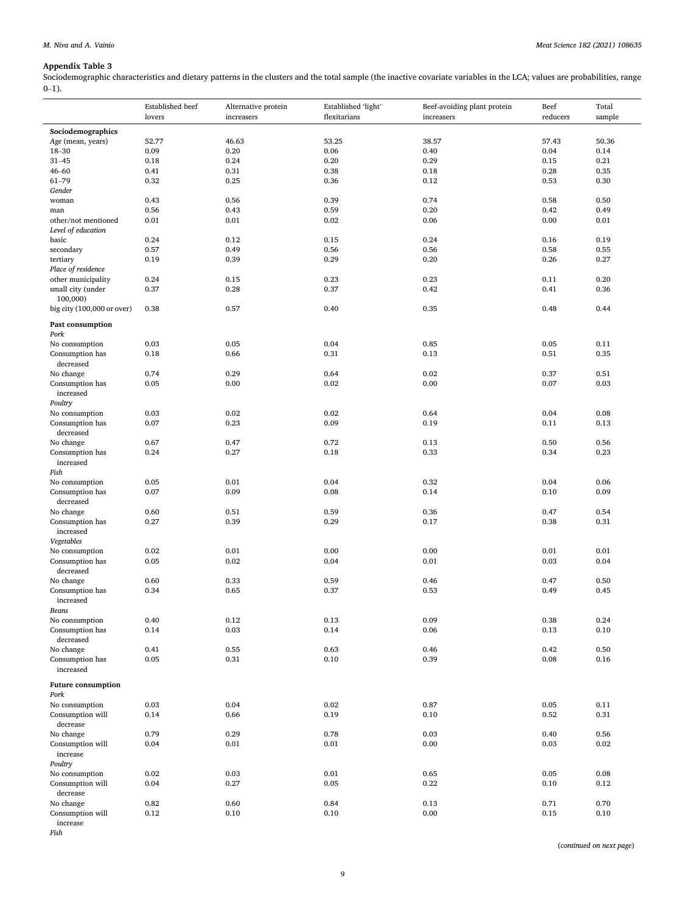## **Appendix Table 3**

Sociodemographic characteristics and dietary patterns in the clusters and the total sample (the inactive covariate variables in the LCA; values are probabilities, range  $0-1$ ).

|                            | Established beef<br>lovers | Alternative protein<br>increasers | Established 'light'<br>flexitarians | Beef-avoiding plant protein<br>increasers | Beef<br>reducers | Total<br>sample |
|----------------------------|----------------------------|-----------------------------------|-------------------------------------|-------------------------------------------|------------------|-----------------|
| Sociodemographics          |                            |                                   |                                     |                                           |                  |                 |
| Age (mean, years)          | 52.77                      | 46.63                             | 53.25                               | 38.57                                     | 57.43            | 50.36           |
| 18-30                      | 0.09                       | 0.20                              | 0.06                                | 0.40                                      | 0.04             | 0.14            |
| $31 - 45$                  | 0.18                       | 0.24                              | 0.20                                | 0.29                                      | 0.15             | 0.21            |
| $46 - 60$                  | 0.41                       | 0.31                              | 0.38                                | 0.18                                      | 0.28             | 0.35            |
| $61 - 79$                  | 0.32                       | 0.25                              | 0.36                                | 0.12                                      | 0.53             | 0.30            |
| Gender                     |                            |                                   |                                     |                                           |                  |                 |
| woman                      | 0.43                       | 0.56                              | 0.39                                | 0.74                                      | 0.58             | 0.50            |
| man                        | 0.56                       | 0.43                              | 0.59                                | 0.20                                      | 0.42             | 0.49            |
| other/not mentioned        | 0.01                       | 0.01                              | 0.02                                | 0.06                                      | 0.00             | 0.01            |
| Level of education         |                            |                                   |                                     |                                           |                  |                 |
| basic                      | 0.24                       | 0.12                              | 0.15                                | 0.24                                      | 0.16             | 0.19            |
| secondary                  | 0.57                       | 0.49                              | 0.56                                | 0.56                                      | 0.58             | 0.55            |
| tertiary                   | 0.19                       | 0.39                              | 0.29                                | 0.20                                      | 0.26             | 0.27            |
| Place of residence         |                            |                                   |                                     |                                           |                  |                 |
| other municipality         | 0.24                       | 0.15                              | 0.23                                | 0.23                                      | 0.11             | 0.20            |
| small city (under          | 0.37                       | 0.28                              | 0.37                                | 0.42                                      | 0.41             | 0.36            |
| 100,000)                   |                            |                                   |                                     |                                           |                  |                 |
| big city (100,000 or over) | 0.38                       | 0.57                              | 0.40                                | 0.35                                      | 0.48             | 0.44            |
| Past consumption           |                            |                                   |                                     |                                           |                  |                 |
| Pork                       |                            |                                   |                                     |                                           |                  |                 |
| No consumption             | 0.03                       | 0.05                              | 0.04                                | 0.85                                      | 0.05             | 0.11            |
| Consumption has            | 0.18                       | 0.66                              | 0.31                                | 0.13                                      | 0.51             | 0.35            |
| decreased                  |                            |                                   |                                     |                                           |                  |                 |
| No change                  | 0.74                       | 0.29                              | 0.64                                | 0.02                                      | 0.37             | 0.51            |
| Consumption has            | 0.05                       | 0.00                              | 0.02                                | 0.00                                      | 0.07             | 0.03            |
| increased                  |                            |                                   |                                     |                                           |                  |                 |
| Poultry                    |                            |                                   |                                     |                                           |                  |                 |
| No consumption             | 0.03                       | 0.02                              | 0.02                                | 0.64                                      | 0.04             | 0.08            |
| Consumption has            | 0.07                       | 0.23                              | 0.09                                | 0.19                                      | 0.11             | 0.13            |
| decreased                  |                            |                                   |                                     |                                           |                  |                 |
| No change                  | 0.67                       | 0.47                              | 0.72                                | 0.13                                      | 0.50             | 0.56            |
| Consumption has            | 0.24                       | 0.27                              | 0.18                                | 0.33                                      | 0.34             | 0.23            |
| increased                  |                            |                                   |                                     |                                           |                  |                 |
| Fish                       |                            |                                   |                                     |                                           |                  |                 |
| No consumption             | 0.05                       | 0.01                              | 0.04                                | 0.32                                      | 0.04             | 0.06            |
| Consumption has            | 0.07                       | 0.09                              | 0.08                                | 0.14                                      | 0.10             | 0.09            |
| decreased                  |                            |                                   |                                     |                                           |                  |                 |
| No change                  | 0.60                       | 0.51                              | 0.59                                | 0.36                                      | 0.47             | 0.54            |
| Consumption has            | 0.27                       | 0.39                              | 0.29                                | 0.17                                      | 0.38             | 0.31            |
| increased                  |                            |                                   |                                     |                                           |                  |                 |
| Vegetables                 |                            |                                   |                                     |                                           |                  |                 |
| No consumption             | 0.02                       | 0.01                              | 0.00                                | 0.00                                      | 0.01             | 0.01            |
| Consumption has            | 0.05                       | 0.02                              | 0.04                                | 0.01                                      | 0.03             | 0.04            |
| decreased                  |                            |                                   |                                     |                                           |                  |                 |
| No change                  | 0.60                       | 0.33                              | 0.59                                | 0.46                                      | 0.47             | 0.50            |
| Consumption has            | 0.34                       | 0.65                              | 0.37                                | 0.53                                      | 0.49             | 0.45            |
| increased                  |                            |                                   |                                     |                                           |                  |                 |
| Beans                      |                            |                                   |                                     |                                           |                  |                 |
| No consumption             | 0.40                       | 0.12                              | 0.13                                | 0.09                                      | 0.38             | 0.24            |
| Consumption has            | 0.14                       | 0.03                              | 0.14                                | 0.06                                      | 0.13             | 0.10            |
| decreased                  |                            |                                   |                                     |                                           |                  |                 |
| No change                  | 0.41                       | 0.55                              | 0.63                                | 0.46                                      | 0.42             | 0.50            |
| Consumption has            | 0.05                       | 0.31                              | 0.10                                | 0.39                                      | 0.08             | 0.16            |
| increased                  |                            |                                   |                                     |                                           |                  |                 |
| <b>Future consumption</b>  |                            |                                   |                                     |                                           |                  |                 |
| Pork                       |                            |                                   |                                     |                                           |                  |                 |
| No consumption             | 0.03                       | 0.04                              | 0.02                                | 0.87                                      | 0.05             | 0.11            |
| Consumption will           | 0.14                       | 0.66                              | 0.19                                | 0.10                                      | 0.52             | 0.31            |
| decrease                   |                            |                                   |                                     |                                           |                  |                 |
| No change                  | 0.79                       | 0.29                              | 0.78                                | 0.03                                      | 0.40             | 0.56            |
| Consumption will           | 0.04                       | 0.01                              | 0.01                                | 0.00                                      | 0.03             | 0.02            |
| increase                   |                            |                                   |                                     |                                           |                  |                 |
| Poultry                    |                            |                                   |                                     |                                           |                  |                 |
| No consumption             | 0.02                       | 0.03                              | 0.01                                | 0.65                                      | 0.05             | 0.08            |
| Consumption will           | 0.04                       | 0.27                              | 0.05                                | 0.22                                      | 0.10             | 0.12            |
| decrease                   |                            |                                   |                                     |                                           |                  |                 |
| No change                  | 0.82                       | 0.60                              | 0.84                                | 0.13                                      | 0.71             | 0.70            |
| Consumption will           | 0.12                       | 0.10                              | 0.10                                | 0.00                                      | 0.15             | 0.10            |
| increase                   |                            |                                   |                                     |                                           |                  |                 |

*Fish* 

(*continued on next page*)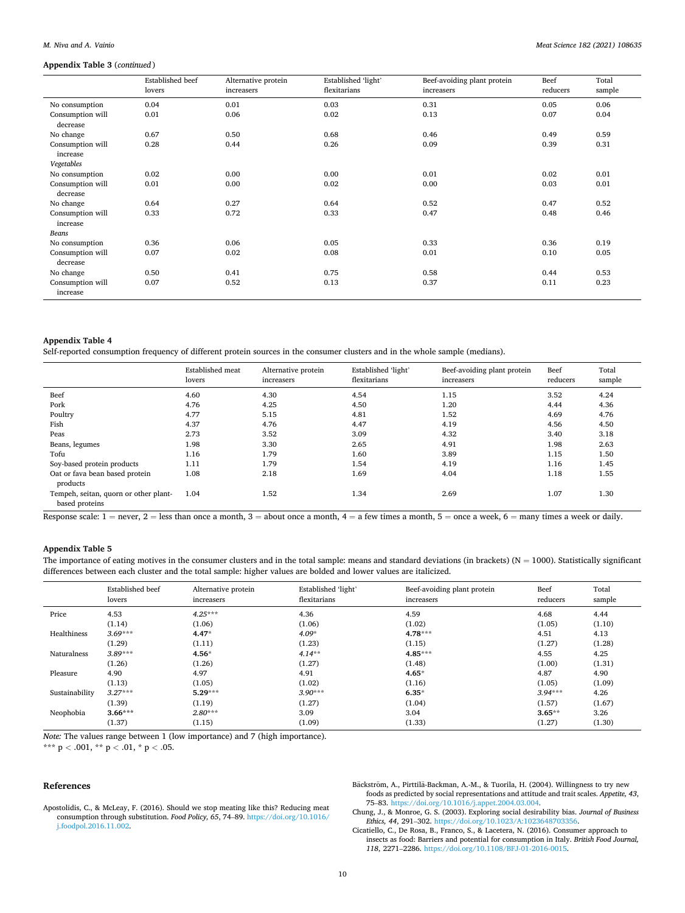#### *M. Niva and A. Vainio*

## **Appendix Table 3** (*continued* )

|                              | <b>Established</b> beef<br>lovers | Alternative protein<br>increasers | Established 'light'<br>flexitarians | Beef-avoiding plant protein<br>increasers | Beef<br>reducers | Total<br>sample |
|------------------------------|-----------------------------------|-----------------------------------|-------------------------------------|-------------------------------------------|------------------|-----------------|
| No consumption               | 0.04                              | 0.01                              | 0.03                                | 0.31                                      | 0.05             | 0.06            |
| Consumption will<br>decrease | 0.01                              | 0.06                              | 0.02                                | 0.13                                      | 0.07             | 0.04            |
| No change                    | 0.67                              | 0.50                              | 0.68                                | 0.46                                      | 0.49             | 0.59            |
| Consumption will<br>increase | 0.28                              | 0.44                              | 0.26                                | 0.09                                      | 0.39             | 0.31            |
| Vegetables                   |                                   |                                   |                                     |                                           |                  |                 |
| No consumption               | 0.02                              | 0.00                              | 0.00                                | 0.01                                      | 0.02             | 0.01            |
| Consumption will<br>decrease | 0.01                              | 0.00                              | 0.02                                | 0.00                                      | 0.03             | 0.01            |
| No change                    | 0.64                              | 0.27                              | 0.64                                | 0.52                                      | 0.47             | 0.52            |
| Consumption will<br>increase | 0.33                              | 0.72                              | 0.33                                | 0.47                                      | 0.48             | 0.46            |
| Beans                        |                                   |                                   |                                     |                                           |                  |                 |
| No consumption               | 0.36                              | 0.06                              | 0.05                                | 0.33                                      | 0.36             | 0.19            |
| Consumption will<br>decrease | 0.07                              | 0.02                              | 0.08                                | 0.01                                      | 0.10             | 0.05            |
| No change                    | 0.50                              | 0.41                              | 0.75                                | 0.58                                      | 0.44             | 0.53            |
| Consumption will<br>increase | 0.07                              | 0.52                              | 0.13                                | 0.37                                      | 0.11             | 0.23            |

## **Appendix Table 4**

Self-reported consumption frequency of different protein sources in the consumer clusters and in the whole sample (medians).

|                                                         | <b>Established</b> meat<br>lovers | Alternative protein<br>increasers | Established 'light'<br>flexitarians | Beef-avoiding plant protein<br>increasers | Beef<br>reducers | Total<br>sample |
|---------------------------------------------------------|-----------------------------------|-----------------------------------|-------------------------------------|-------------------------------------------|------------------|-----------------|
| Beef                                                    | 4.60                              | 4.30                              | 4.54                                | 1.15                                      | 3.52             | 4.24            |
| Pork                                                    | 4.76                              | 4.25                              | 4.50                                | 1.20                                      | 4.44             | 4.36            |
| Poultry                                                 | 4.77                              | 5.15                              | 4.81                                | 1.52                                      | 4.69             | 4.76            |
| Fish                                                    | 4.37                              | 4.76                              | 4.47                                | 4.19                                      | 4.56             | 4.50            |
| Peas                                                    | 2.73                              | 3.52                              | 3.09                                | 4.32                                      | 3.40             | 3.18            |
| Beans, legumes                                          | 1.98                              | 3.30                              | 2.65                                | 4.91                                      | 1.98             | 2.63            |
| Tofu                                                    | 1.16                              | 1.79                              | 1.60                                | 3.89                                      | 1.15             | 1.50            |
| Soy-based protein products                              | 1.11                              | 1.79                              | 1.54                                | 4.19                                      | 1.16             | 1.45            |
| Oat or fava bean based protein<br>products              | 1.08                              | 2.18                              | 1.69                                | 4.04                                      | 1.18             | 1.55            |
| Tempeh, seitan, quorn or other plant-<br>based proteins | 1.04                              | 1.52                              | 1.34                                | 2.69                                      | 1.07             | 1.30            |

Response scale:  $1 =$  never,  $2 =$  less than once a month,  $3 =$  about once a month,  $4 =$  a few times a month,  $5 =$  once a week,  $6 =$  many times a week or daily.

## **Appendix Table 5**

The importance of eating motives in the consumer clusters and in the total sample: means and standard deviations (in brackets) ( $N = 1000$ ). Statistically significant differences between each cluster and the total sample: higher values are bolded and lower values are italicized.

|                | Established beef<br>lovers | Alternative protein<br>increasers | Established 'light'<br>flexitarians | Beef-avoiding plant protein<br>increasers | Beef<br>reducers | Total<br>sample |
|----------------|----------------------------|-----------------------------------|-------------------------------------|-------------------------------------------|------------------|-----------------|
| Price          | 4.53                       | $4.25***$                         | 4.36                                | 4.59                                      | 4.68             | 4.44            |
|                | (1.14)                     | (1.06)                            | (1.06)                              | (1.02)                                    | (1.05)           | (1.10)          |
| Healthiness    | $3.69***$                  | $4.47*$                           | $4.09*$                             | $4.78***$                                 | 4.51             | 4.13            |
|                | (1.29)                     | (1.11)                            | (1.23)                              | (1.15)                                    | (1.27)           | (1.28)          |
| Naturalness    | $3.89***$                  | $4.56*$                           | $4.14***$                           | $4.85***$                                 | 4.55             | 4.25            |
|                | (1.26)                     | (1.26)                            | (1.27)                              | (1.48)                                    | (1.00)           | (1.31)          |
| Pleasure       | 4.90                       | 4.97                              | 4.91                                | $4.65*$                                   | 4.87             | 4.90            |
|                | (1.13)                     | (1.05)                            | (1.02)                              | (1.16)                                    | (1.05)           | (1.09)          |
| Sustainability | $3.27***$                  | $5.29***$                         | $3.90***$                           | $6.35*$                                   | $3.94***$        | 4.26            |
|                | (1.39)                     | (1.19)                            | (1.27)                              | (1.04)                                    | (1.57)           | (1.67)          |
| Neophobia      | $3.66***$                  | $2.80***$                         | 3.09                                | 3.04                                      | $3.65**$         | 3.26            |
|                | (1.37)                     | (1.15)                            | (1.09)                              | (1.33)                                    | (1.27)           | (1.30)          |

*Note:* The values range between 1 (low importance) and 7 (high importance).

\*\*\* p *<* .001, \*\* p *<* .01, \* p *<* .05.

#### **References**

Apostolidis, C., & McLeay, F. (2016). Should we stop meating like this? Reducing meat consumption through substitution. *Food Policy, 65*, 74–89. [https://doi.org/10.1016/](https://doi.org/10.1016/j.foodpol.2016.11.002)  [j.foodpol.2016.11.002](https://doi.org/10.1016/j.foodpol.2016.11.002).

Bäckström, A., Pirttilä-Backman, A.-M., & Tuorila, H. (2004). Willingness to try new foods as predicted by social representations and attitude and trait scales. *Appetite, 43*, 75–83. [https://doi.org/10.1016/j.appet.2004.03.004.](https://doi.org/10.1016/j.appet.2004.03.004)

Chung, J., & Monroe, G. S. (2003). Exploring social desirability bias. *Journal of Business Ethics, 44*, 291–302. <https://doi.org/10.1023/A:1023648703356>.

Cicatiello, C., De Rosa, B., Franco, S., & Lacetera, N. (2016). Consumer approach to insects as food: Barriers and potential for consumption in Italy. *British Food Journal, 118*, 2271–2286. <https://doi.org/10.1108/BFJ-01-2016-0015>.